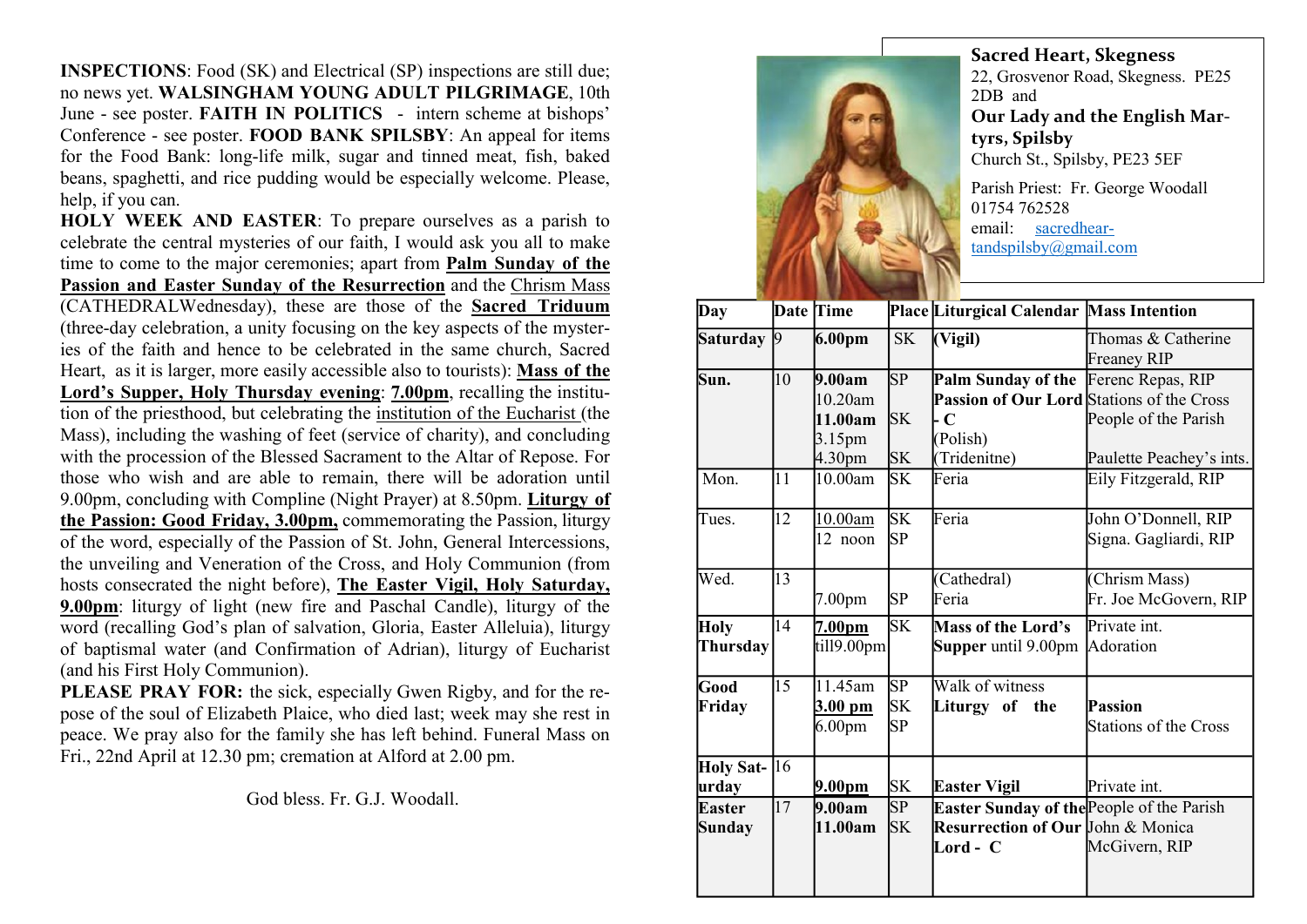INSPECTIONS: Food (SK) and Electrical (SP) inspections are still due; no news yet. WALSINGHAM YOUNG ADULT PILGRIMAGE, 10th June - see poster. FAITH IN POLITICS - intern scheme at bishops' Conference - see poster. FOOD BANK SPILSBY: An appeal for items for the Food Bank: long-life milk, sugar and tinned meat, fish, baked beans, spaghetti, and rice pudding would be especially welcome. Please, help, if you can.

HOLY WEEK AND EASTER: To prepare ourselves as a parish to celebrate the central mysteries of our faith, I would ask you all to make time to come to the major ceremonies; apart from Palm Sunday of the Passion and Easter Sunday of the Resurrection and the Chrism Mass (CATHEDRALWednesday), these are those of the Sacred Triduum (three-day celebration, a unity focusing on the key aspects of the mysteries of the faith and hence to be celebrated in the same church, Sacred Heart, as it is larger, more easily accessible also to tourists): Mass of the Lord's Supper, Holy Thursday evening: 7.00pm, recalling the institution of the priesthood, but celebrating the institution of the Eucharist (the Mass), including the washing of feet (service of charity), and concluding with the procession of the Blessed Sacrament to the Altar of Repose. For those who wish and are able to remain, there will be adoration until 9.00pm, concluding with Compline (Night Prayer) at 8.50pm. Liturgy of the Passion: Good Friday, 3.00pm, commemorating the Passion, liturgy of the word, especially of the Passion of St. John, General Intercessions, the unveiling and Veneration of the Cross, and Holy Communion (from hosts consecrated the night before), The Easter Vigil, Holy Saturday, 9.00pm: liturgy of light (new fire and Paschal Candle), liturgy of the word (recalling God's plan of salvation, Gloria, Easter Alleluia), liturgy of baptismal water (and Confirmation of Adrian), liturgy of Eucharist (and his First Holy Communion).

PLEASE PRAY FOR: the sick, especially Gwen Rigby, and for the repose of the soul of Elizabeth Plaice, who died last; week may she rest in peace. We pray also for the family she has left behind. Funeral Mass on Fri., 22nd April at 12.30 pm; cremation at Alford at 2.00 pm.

God bless. Fr. G.J. Woodall.



Sacred Heart, Skegness 22, Grosvenor Road, Skegness. PE25 2DB and Our Lady and the English Martyrs, Spilsby Church St., Spilsby, PE23 5EF Parish Priest: Fr. George Woodall 01754 762528

email: sacredheartandspilsby@gmail.com

| Day              | <b>Date Time</b> |                    |           | Place Liturgical Calendar Mass Intention     |                          |
|------------------|------------------|--------------------|-----------|----------------------------------------------|--------------------------|
| <b>Saturday</b>  | $\vert 9 \vert$  | 6.00 <sub>pm</sub> | <b>SK</b> | (Vigil)                                      | Thomas & Catherine       |
|                  |                  |                    |           |                                              | <b>Freaney RIP</b>       |
| Sun.             | 10               | 9.00am             | SP        | Palm Sunday of the Ferenc Repas, RIP         |                          |
|                  |                  | $10.20$ am         |           | Passion of Our Lord Stations of the Cross    |                          |
|                  |                  | 11.00am            | <b>SK</b> | $\cdot$ C                                    | People of the Parish     |
|                  |                  | 3.15pm             |           | (Polish)                                     |                          |
|                  |                  | 4.30pm             | <b>SK</b> | (Tridenitne)                                 | Paulette Peachey's ints. |
| Mon.             | 11               | 10.00am            | <b>SK</b> | Feria                                        | Eily Fitzgerald, RIP     |
| Tues.            | 12               | 10.00am            | <b>SK</b> | Feria                                        | John O'Donnell, RIP      |
|                  |                  | 12 noon            | <b>SP</b> |                                              | Signa. Gagliardi, RIP    |
| Wed.             | 13               |                    |           | (Cathedral)                                  | (Chrism Mass)            |
|                  |                  | 7.00 <sub>pm</sub> | <b>SP</b> | Feria                                        | Fr. Joe McGovern, RIP    |
| <b>Holy</b>      | 14               | 7.00 <sub>pm</sub> | SK        | <b>Mass of the Lord's</b>                    | Private int.             |
| Thursday         |                  | till9.00pm         |           | <b>Supper</b> until 9.00pm Adoration         |                          |
| Good             | 15               | 11.45am            | <b>SP</b> | Walk of witness                              |                          |
| Friday           |                  | 3.00 pm            | <b>SK</b> | Liturgy of the                               | Passion                  |
|                  |                  | 6.00 <sub>pm</sub> | <b>SP</b> |                                              | Stations of the Cross    |
| <b>Holy Sat-</b> | 16               |                    |           |                                              |                          |
| urday            |                  | <u>9.00pm</u>      | <b>SK</b> | Easter Vigil                                 | Private int.             |
| <b>Easter</b>    | 17               | 9.00am             | SP        | Easter Sunday of the People of the Parish    |                          |
| <b>Sunday</b>    |                  | 11.00am            | <b>SK</b> | <b>Resurrection of Our John &amp; Monica</b> |                          |
|                  |                  |                    |           | Lord - C                                     | McGivern, RIP            |
|                  |                  |                    |           |                                              |                          |